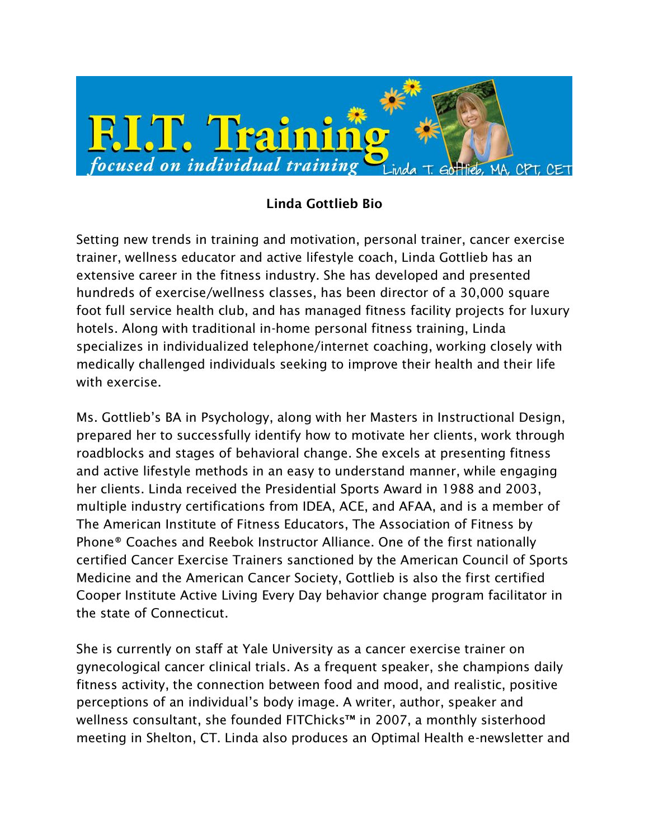

## **Linda Gottlieb Bio**

Setting new trends in training and motivation, personal trainer, cancer exercise trainer, wellness educator and active lifestyle coach, Linda Gottlieb has an extensive career in the fitness industry. She has developed and presented hundreds of exercise/wellness classes, has been director of a 30,000 square foot full service health club, and has managed fitness facility projects for luxury hotels. Along with traditional in-home personal fitness training, Linda specializes in individualized telephone/internet coaching, working closely with medically challenged individuals seeking to improve their health and their life with exercise.

Ms. Gottlieb's BA in Psychology, along with her Masters in Instructional Design, prepared her to successfully identify how to motivate her clients, work through roadblocks and stages of behavioral change. She excels at presenting fitness and active lifestyle methods in an easy to understand manner, while engaging her clients. Linda received the Presidential Sports Award in 1988 and 2003, multiple industry certifications from IDEA, ACE, and AFAA, and is a member of The American Institute of Fitness Educators, The Association of Fitness by Phone® Coaches and Reebok Instructor Alliance. One of the first nationally certified Cancer Exercise Trainers sanctioned by the American Council of Sports Medicine and the American Cancer Society, Gottlieb is also the first certified Cooper Institute Active Living Every Day behavior change program facilitator in the state of Connecticut.

She is currently on staff at Yale University as a cancer exercise trainer on gynecological cancer clinical trials. As a frequent speaker, she champions daily fitness activity, the connection between food and mood, and realistic, positive perceptions of an individual's body image. A writer, author, speaker and wellness consultant, she founded FITChicks™ in 2007, a monthly sisterhood meeting in Shelton, CT. Linda also produces an Optimal Health e-newsletter and